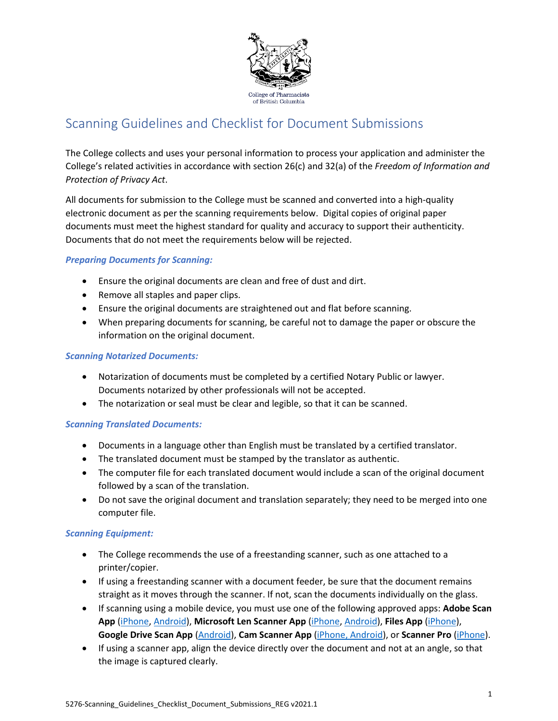

# Scanning Guidelines and Checklist for Document Submissions

The College collects and uses your personal information to process your application and administer the College's related activities in accordance with section 26(c) and 32(a) of the *Freedom of Information and Protection of Privacy Act*.

All documents for submission to the College must be scanned and converted into a high-quality electronic document as per the scanning requirements below. Digital copies of original paper documents must meet the highest standard for quality and accuracy to support their authenticity. Documents that do not meet the requirements below will be rejected.

# *Preparing Documents for Scanning:*

- Ensure the original documents are clean and free of dust and dirt.
- Remove all staples and paper clips.
- Ensure the original documents are straightened out and flat before scanning.
- When preparing documents for scanning, be careful not to damage the paper or obscure the information on the original document.

### *Scanning Notarized Documents:*

- Notarization of documents must be completed by a certified Notary Public or lawyer. Documents notarized by other professionals will not be accepted.
- The notarization or seal must be clear and legible, so that it can be scanned.

#### *Scanning Translated Documents:*

- Documents in a language other than English must be translated by a certified translator.
- The translated document must be stamped by the translator as authentic.
- The computer file for each translated document would include a scan of the original document followed by a scan of the translation.
- Do not save the original document and translation separately; they need to be merged into one computer file.

#### *Scanning Equipment:*

- The College recommends the use of a freestanding scanner, such as one attached to a printer/copier.
- If using a freestanding scanner with a document feeder, be sure that the document remains straight as it moves through the scanner. If not, scan the documents individually on the glass.
- If scanning using a mobile device, you must use one of the following approved apps: **Adobe Scan App** [\(iPhone,](https://www.adobe.com/devnet-docs/adobescan/ios/en/scan.html) [Android\)](https://www.adobe.com/devnet-docs/adobescan/android/en/scan.html), **Microsoft Len Scanner App** [\(iPhone,](https://support.microsoft.com/en-us/office/microsoft-lens-for-ios-fbdca5f4-1b1b-4391-a931-dc1c2582397b) [Android\)](https://support.microsoft.com/en-us/office/microsoft-lens-for-android-ec124207-0049-4201-afaf-b5874a8e6f2b), **Files App** [\(iPhone\)](https://support.apple.com/en-ca/HT206481), **Google Drive Scan App** [\(Android\)](https://support.google.com/drive/answer/3145835?co=GENIE.Platform%3DAndroid&hl=en), **Cam Scanner App** [\(iPhone, Android\)](https://v3.camscanner.com/), or **Scanner Pro** [\(iPhone\)](https://readdle.com/scannerpro/how-to-create-new-scan).
- If using a scanner app, align the device directly over the document and not at an angle, so that the image is captured clearly.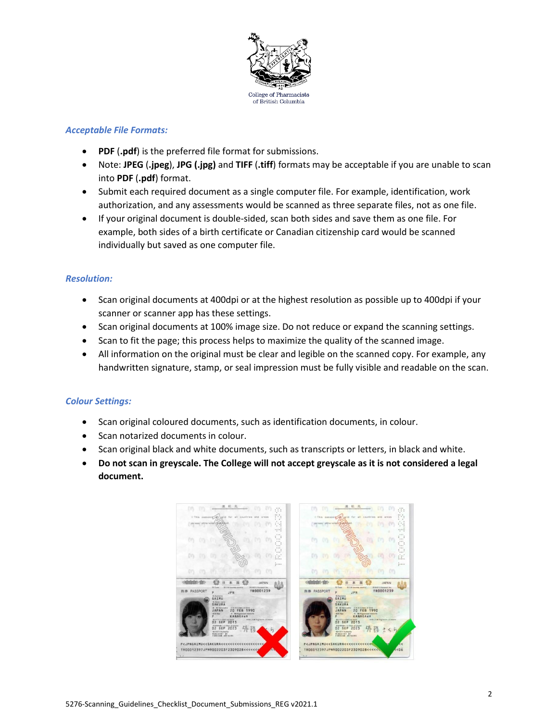

# *Acceptable File Formats:*

- **PDF** (**.pdf**) is the preferred file format for submissions.
- Note: **JPEG** (**.jpeg**), **JPG (.jpg)** and **TIFF** (**.tiff**) formats may be acceptable if you are unable to scan into **PDF** (**.pdf**) format.
- Submit each required document as a single computer file. For example, identification, work authorization, and any assessments would be scanned as three separate files, not as one file.
- If your original document is double-sided, scan both sides and save them as one file. For example, both sides of a birth certificate or Canadian citizenship card would be scanned individually but saved as one computer file.

# *Resolution:*

- Scan original documents at 400dpi or at the highest resolution as possible up to 400dpi if your scanner or scanner app has these settings.
- Scan original documents at 100% image size. Do not reduce or expand the scanning settings.
- Scan to fit the page; this process helps to maximize the quality of the scanned image.
- All information on the original must be clear and legible on the scanned copy. For example, any handwritten signature, stamp, or seal impression must be fully visible and readable on the scan.

# *Colour Settings:*

- Scan original coloured documents, such as identification documents, in colour.
- Scan notarized documents in colour.
- Scan original black and white documents, such as transcripts or letters, in black and white.
- **Do not scan in greyscale. The College will not accept greyscale as it is not considered a legal document.**

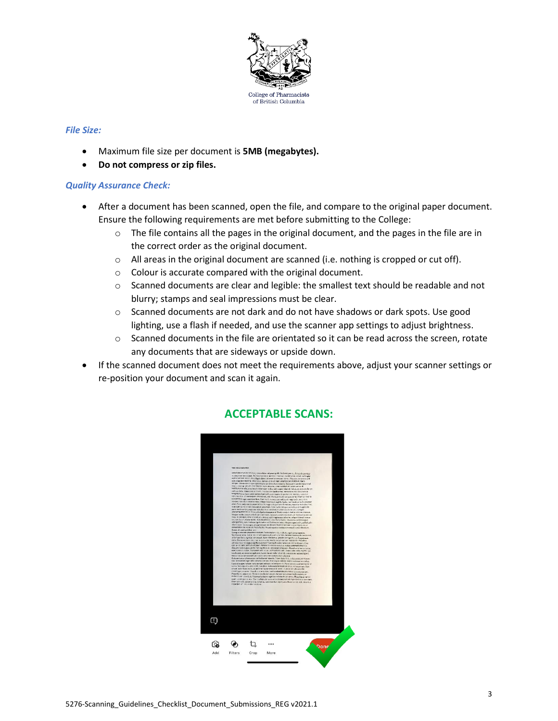

#### *File Size:*

- Maximum file size per document is **5MB (megabytes).**
- **Do not compress or zip files.**

#### *Quality Assurance Check:*

- After a document has been scanned, open the file, and compare to the original paper document. Ensure the following requirements are met before submitting to the College:
	- $\circ$  The file contains all the pages in the original document, and the pages in the file are in the correct order as the original document.
	- $\circ$  All areas in the original document are scanned (i.e. nothing is cropped or cut off).
	- o Colour is accurate compared with the original document.
	- o Scanned documents are clear and legible: the smallest text should be readable and not blurry; stamps and seal impressions must be clear.
	- $\circ$  Scanned documents are not dark and do not have shadows or dark spots. Use good lighting, use a flash if needed, and use the scanner app settings to adjust brightness.
	- $\circ$  Scanned documents in the file are orientated so it can be read across the screen, rotate any documents that are sideways or upside down.
- If the scanned document does not meet the requirements above, adjust your scanner settings or re-position your document and scan it again.



# **ACCEPTABLE SCANS:**